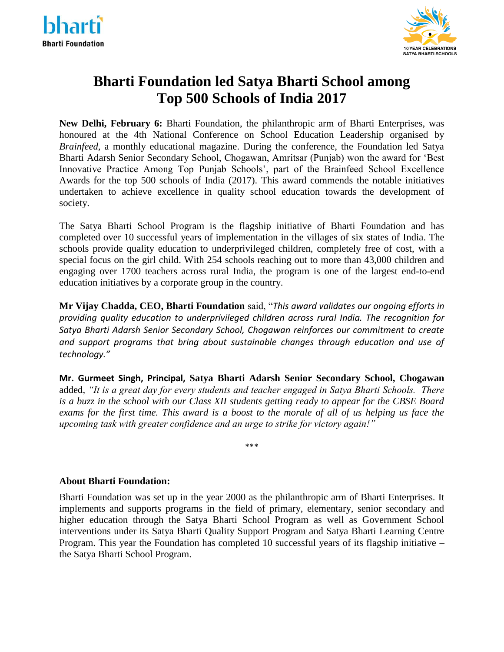



# **Bharti Foundation led Satya Bharti School among Top 500 Schools of India 2017**

**New Delhi, February 6:** Bharti Foundation, the philanthropic arm of Bharti Enterprises, was honoured at the 4th National Conference on School Education Leadership organised by *Brainfeed*, a monthly educational magazine. During the conference, the Foundation led Satya Bharti Adarsh Senior Secondary School, Chogawan, Amritsar (Punjab) won the award for 'Best Innovative Practice Among Top Punjab Schools', part of the Brainfeed School Excellence Awards for the top 500 schools of India (2017). This award commends the notable initiatives undertaken to achieve excellence in quality school education towards the development of society.

The Satya Bharti School Program is the flagship initiative of Bharti Foundation and has completed over 10 successful years of implementation in the villages of six states of India. The schools provide quality education to underprivileged children, completely free of cost, with a special focus on the girl child. With 254 schools reaching out to more than 43,000 children and engaging over 1700 teachers across rural India, the program is one of the largest end-to-end education initiatives by a corporate group in the country.

**Mr Vijay Chadda, CEO, Bharti Foundation** said, "*This award validates our ongoing efforts in providing quality education to underprivileged children across rural India. The recognition for Satya Bharti Adarsh Senior Secondary School, Chogawan reinforces our commitment to create and support programs that bring about sustainable changes through education and use of technology."*

**Mr. Gurmeet Singh, Principal, Satya Bharti Adarsh Senior Secondary School, Chogawan** added, *"It is a great day for every students and teacher engaged in Satya Bharti Schools. There is a buzz in the school with our Class XII students getting ready to appear for the CBSE Board exams for the first time. This award is a boost to the morale of all of us helping us face the upcoming task with greater confidence and an urge to strike for victory again!"*

\*\*\*

## **About Bharti Foundation:**

Bharti Foundation was set up in the year 2000 as the philanthropic arm of Bharti Enterprises. It implements and supports programs in the field of primary, elementary, senior secondary and higher education through the Satya Bharti School Program as well as Government School interventions under its Satya Bharti Quality Support Program and Satya Bharti Learning Centre Program. This year the Foundation has completed 10 successful years of its flagship initiative – the Satya Bharti School Program.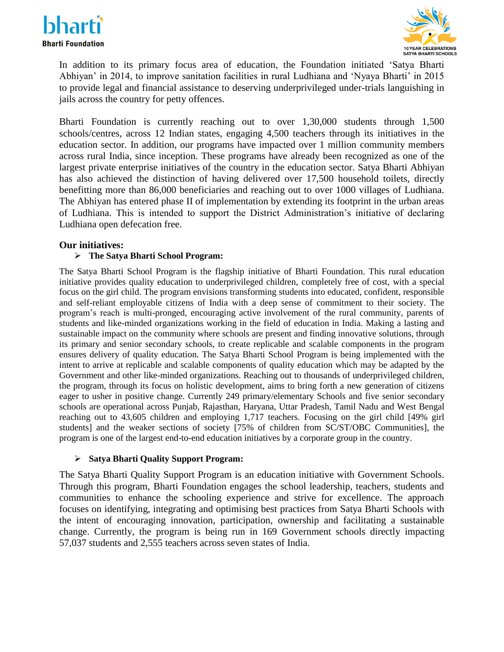



In addition to its primary focus area of education, the Foundation initiated 'Satya Bharti Abhiyan' in 2014, to improve sanitation facilities in rural Ludhiana and 'Nyaya Bharti' in 2015 to provide legal and financial assistance to deserving underprivileged under-trials languishing in jails across the country for petty offences.

Bharti Foundation is currently reaching out to over 1,30,000 students through 1,500 schools/centres, across 12 Indian states, engaging 4,500 teachers through its initiatives in the education sector. In addition, our programs have impacted over 1 million community members across rural India, since inception. These programs have already been recognized as one of the largest private enterprise initiatives of the country in the education sector. Satya Bharti Abhiyan has also achieved the distinction of having delivered over 17,500 household toilets, directly benefitting more than 86,000 beneficiaries and reaching out to over 1000 villages of Ludhiana. The Abhiyan has entered phase II of implementation by extending its footprint in the urban areas of Ludhiana. This is intended to support the District Administration's initiative of declaring Ludhiana open defecation free.

### **Our initiatives:**

## **The Satya Bharti School Program:**

The Satya Bharti School Program is the flagship initiative of Bharti Foundation. This rural education initiative provides quality education to underprivileged children, completely free of cost, with a special focus on the girl child. The program envisions transforming students into educated, confident, responsible and self-reliant employable citizens of India with a deep sense of commitment to their society. The program's reach is multi-pronged, encouraging active involvement of the rural community, parents of students and like-minded organizations working in the field of education in India. Making a lasting and sustainable impact on the community where schools are present and finding innovative solutions, through its primary and senior secondary schools, to create replicable and scalable components in the program ensures delivery of quality education. The Satya Bharti School Program is being implemented with the intent to arrive at replicable and scalable components of quality education which may be adapted by the Government and other like-minded organizations. Reaching out to thousands of underprivileged children, the program, through its focus on holistic development, aims to bring forth a new generation of citizens eager to usher in positive change. Currently 249 primary/elementary Schools and five senior secondary schools are operational across Punjab, Rajasthan, Haryana, Uttar Pradesh, Tamil Nadu and West Bengal reaching out to 43,605 children and employing 1,717 teachers. Focusing on the girl child [49% girl students] and the weaker sections of society [75% of children from SC/ST/OBC Communities], the program is one of the largest end-to-end education initiatives by a corporate group in the country.

#### **Satya Bharti Quality Support Program:**

The Satya Bharti Quality Support Program is an education initiative with Government Schools. Through this program, Bharti Foundation engages the school leadership, teachers, students and communities to enhance the schooling experience and strive for excellence. The approach focuses on identifying, integrating and optimising best practices from Satya Bharti Schools with the intent of encouraging innovation, participation, ownership and facilitating a sustainable change. Currently, the program is being run in 169 Government schools directly impacting 57,037 students and 2,555 teachers across seven states of India.